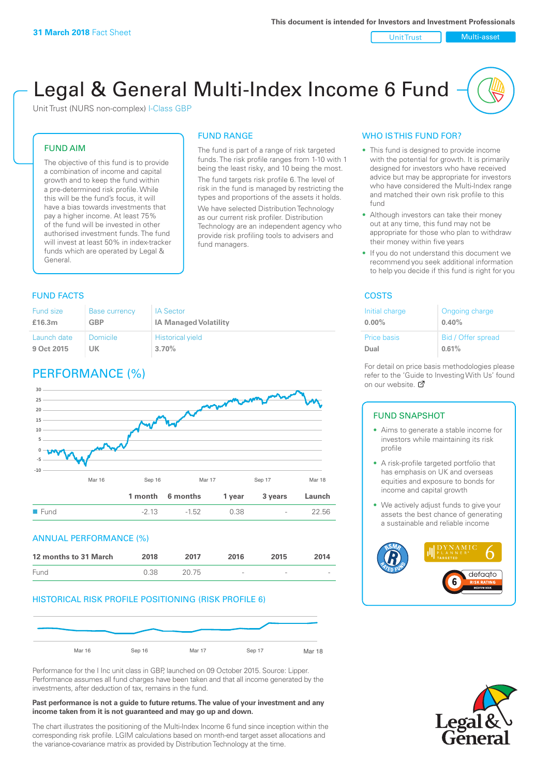Unit Trust Nulti-asset

# Legal & General Multi-Index Income 6 Fund

Unit Trust (NURS non-complex) I-Class GBP

#### FUND AIM

The objective of this fund is to provide a combination of income and capital growth and to keep the fund within a pre-determined risk profile. While this will be the fund's focus, it will have a bias towards investments that pay a higher income. At least 75% of the fund will be invested in other authorised investment funds. The fund will invest at least 50% in index-tracker funds which are operated by Legal & General.

#### FUND RANGE

The fund is part of a range of risk targeted funds. The risk profile ranges from 1-10 with 1 being the least risky, and 10 being the most. The fund targets risk profile 6. The level of risk in the fund is managed by restricting the

types and proportions of the assets it holds. We have selected Distribution Technology as our current risk profiler. Distribution Technology are an independent agency who provide risk profiling tools to advisers and fund managers.

#### **FUND FACTS** COSTS

| Fund size   | <b>Base currency</b> | <b>IA Sector</b>             |
|-------------|----------------------|------------------------------|
| £16.3m      | GBP                  | <b>IA Managed Volatility</b> |
| Launch date | Domicile             | <b>Historical yield</b>      |
| 9 Oct 2015  | UK                   | 3.70%                        |

# PERFORMANCE (%)



#### ANNUAL PERFORMANCE (%)

| 12 months to 31 March | 2018 | 2017   | 2016                     | 2015   | 2014   |
|-----------------------|------|--------|--------------------------|--------|--------|
| Fund                  | 0.38 | -20.75 | $\overline{\phantom{a}}$ | $\sim$ | $\sim$ |

#### HISTORICAL RISK PROFILE POSITIONING (RISK PROFILE 6)



Performance for the I Inc unit class in GBP, launched on 09 October 2015. Source: Lipper. Performance assumes all fund charges have been taken and that all income generated by the investments, after deduction of tax, remains in the fund.

#### **Past performance is not a guide to future returns. The value of your investment and any income taken from it is not guaranteed and may go up and down.**

The chart illustrates the positioning of the Multi-Index Income 6 fund since inception within the corresponding risk profile. LGIM calculations based on month-end target asset allocations and the variance-covariance matrix as provided by Distribution Technology at the time.

#### WHO IS THIS FUND FOR?

- This fund is designed to provide income with the potential for growth. It is primarily designed for investors who have received advice but may be appropriate for investors who have considered the Multi-Index range and matched their own risk profile to this fund
- Although investors can take their money out at any time, this fund may not be appropriate for those who plan to withdraw their money within five years
- If you do not understand this document we recommend you seek additional information to help you decide if this fund is right for you

| Initial charge | Ongoing charge     |
|----------------|--------------------|
| $0.00\%$       | 0.40%              |
| Price basis    | Bid / Offer spread |
| Dual           | 0.61%              |

For detail on price basis methodologies please refer to the 'Gu[ide t](http://www.legalandgeneral.com/guide)o Investing With Us' found on our website. Ø

#### FUND SNAPSHOT

- Aims to generate a stable income for investors while maintaining its risk profile
- A risk-profile targeted portfolio that has emphasis on UK and overseas equities and exposure to bonds for income and capital growth
- We actively adjust funds to give your assets the best chance of generating a sustainable and reliable income



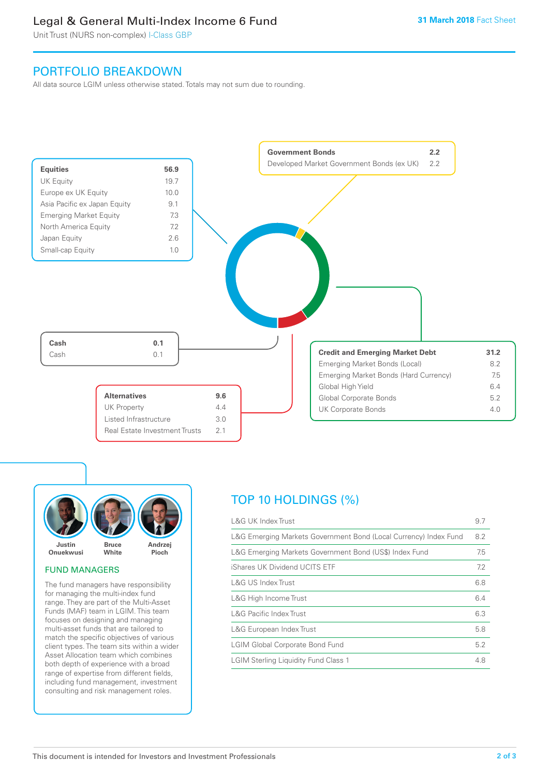# Legal & General Multi-Index Income 6 Fund

Unit Trust (NURS non-complex) I-Class GBP

## PORTFOLIO BREAKDOWN

All data source LGIM unless otherwise stated. Totals may not sum due to rounding.





#### FUND MANAGERS

The fund managers have responsibility for managing the multi-index fund range. They are part of the Multi-Asset Funds (MAF) team in LGIM. This team focuses on designing and managing multi-asset funds that are tailored to match the specific objectives of various client types. The team sits within a wider Asset Allocation team which combines both depth of experience with a broad range of expertise from different fields, including fund management, investment consulting and risk management roles.

# TOP 10 HOLDINGS (%)

| <b>L&amp;G UK Index Trust</b>                                    | 9.7 |
|------------------------------------------------------------------|-----|
| L&G Emerging Markets Government Bond (Local Currency) Index Fund | 8.2 |
| L&G Emerging Markets Government Bond (US\$) Index Fund           | 7.5 |
| iShares UK Dividend UCITS ETF                                    | 7.2 |
| L&G US Index Trust                                               | 6.8 |
| L&G High Income Trust                                            | 6.4 |
| <b>L&amp;G Pacific Index Trust</b>                               | 6.3 |
| L&G European Index Trust                                         | 5.8 |
| <b>LGIM Global Corporate Bond Fund</b>                           | 5.2 |
| <b>LGIM Sterling Liquidity Fund Class 1</b>                      | 4.8 |